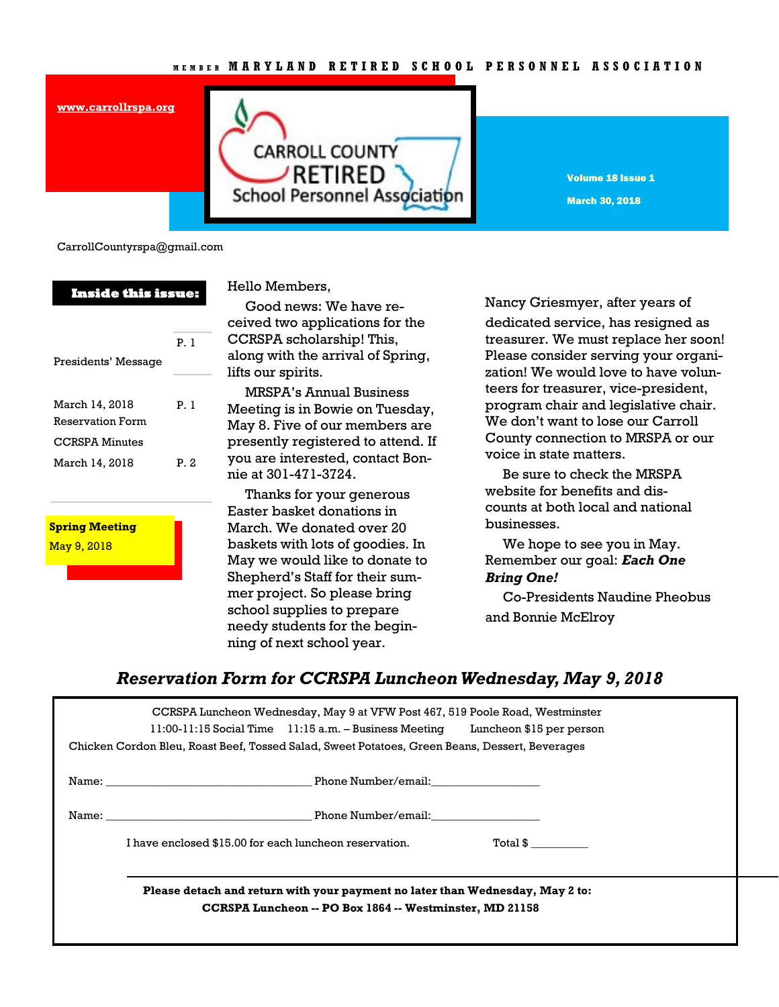### **M E M B E R M A R Y L A N D R E T I R E D S C H O O L P E R S O N N E L A S S O C I A T I O N**



Volume 18 Issue 1 March 30, 2018

CarrollCountyrspa@gmail.com

**[www.carrollrspa.org](http://www.carrollrspa.org/)**

| <b>Inside this issue:</b>                 |      | Hello Memb                                                                       |
|-------------------------------------------|------|----------------------------------------------------------------------------------|
| Presidents' Message                       | P.1  | Good nev<br>ceived two a<br><b>CCRSPA</b> sch<br>along with th<br>lifts our spir |
| March 14, 2018<br><b>Reservation Form</b> | P. 1 | MRSPA's<br>Meeting is in<br>May 8. Five                                          |
| <b>CCRSPA Minutes</b><br>March 14, 2018   | P.2  | presently re<br>you are inte:<br>nie at 301-47                                   |
|                                           |      | Thanks fo<br>Easter bask                                                         |
| <b>Spring Meeting</b>                     |      | March. We o                                                                      |
| May 9, 2018                               |      | baskets with                                                                     |
|                                           |      | <b>BA</b> --- ---- -----                                                         |

bers.

ws: We have reapplications for the olarship! This, he arrival of Spring, its.

**Annual Business** n Bowie on Tuesday, of our members are eqistered to attend. If rested, contact Bon-71-3724.

or your generous et donations in donated over 20 has of goodies. In May we would like to donate to Shepherd's Staff for their summer project. So please bring school supplies to prepare needy students for the beginning of next school year.

Nancy Griesmyer, after years of dedicated service, has resigned as treasurer. We must replace her soon! Please consider serving your organization! We would love to have volunteers for treasurer, vice-president, program chair and legislative chair. We don't want to lose our Carroll County connection to MRSPA or our voice in state matters.

 Be sure to check the MRSPA website for benefits and discounts at both local and national businesses.

 We hope to see you in May. Remember our goal: *Each One Bring One!* 

 Co-Presidents Naudine Pheobus and Bonnie McElroy

## *Reservation Form for CCRSPA Luncheon Wednesday, May 9, 2018*

| CCRSPA Luncheon Wednesday, May 9 at VFW Post 467, 519 Poole Road, Westminster<br>11:00-11:15 Social Time 11:15 a.m. - Business Meeting Luncheon \$15 per person<br>Chicken Cordon Bleu, Roast Beef, Tossed Salad, Sweet Potatoes, Green Beans, Dessert, Beverages |                                                                    |  |  |
|-------------------------------------------------------------------------------------------------------------------------------------------------------------------------------------------------------------------------------------------------------------------|--------------------------------------------------------------------|--|--|
|                                                                                                                                                                                                                                                                   | Name: Name: Example 2014 Manual Phone Number/email:                |  |  |
|                                                                                                                                                                                                                                                                   | Name: Name: Example 2014 Manual Phone Number/email:                |  |  |
|                                                                                                                                                                                                                                                                   | I have enclosed \$15.00 for each luncheon reservation.<br>Total \$ |  |  |
| Please detach and return with your payment no later than Wednesday, May 2 to:<br>CCRSPA Luncheon -- PO Box 1864 -- Westminster, MD 21158                                                                                                                          |                                                                    |  |  |